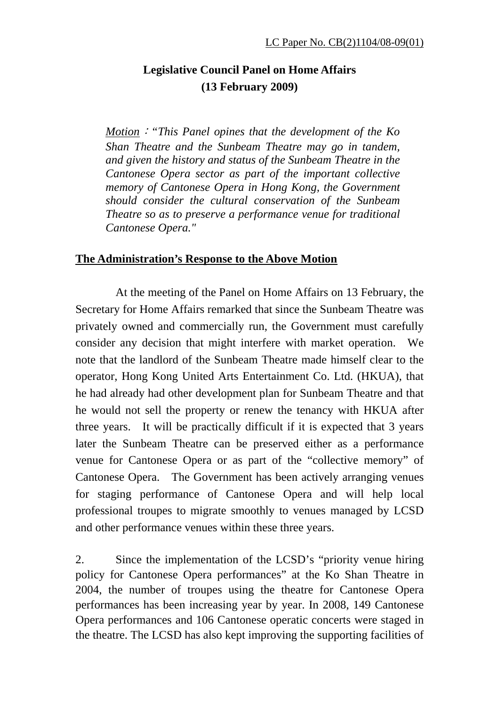## **Legislative Council Panel on Home Affairs (13 February 2009)**

*Motion*:*"This Panel opines that the development of the Ko Shan Theatre and the Sunbeam Theatre may go in tandem, and given the history and status of the Sunbeam Theatre in the Cantonese Opera sector as part of the important collective memory of Cantonese Opera in Hong Kong, the Government should consider the cultural conservation of the Sunbeam Theatre so as to preserve a performance venue for traditional Cantonese Opera."*

## **The Administration's Response to the Above Motion**

 At the meeting of the Panel on Home Affairs on 13 February, the Secretary for Home Affairs remarked that since the Sunbeam Theatre was privately owned and commercially run, the Government must carefully consider any decision that might interfere with market operation. We note that the landlord of the Sunbeam Theatre made himself clear to the operator, Hong Kong United Arts Entertainment Co. Ltd. (HKUA), that he had already had other development plan for Sunbeam Theatre and that he would not sell the property or renew the tenancy with HKUA after three years. It will be practically difficult if it is expected that 3 years later the Sunbeam Theatre can be preserved either as a performance venue for Cantonese Opera or as part of the "collective memory" of Cantonese Opera. The Government has been actively arranging venues for staging performance of Cantonese Opera and will help local professional troupes to migrate smoothly to venues managed by LCSD and other performance venues within these three years.

2. Since the implementation of the LCSD's "priority venue hiring policy for Cantonese Opera performances" at the Ko Shan Theatre in 2004, the number of troupes using the theatre for Cantonese Opera performances has been increasing year by year. In 2008, 149 Cantonese Opera performances and 106 Cantonese operatic concerts were staged in the theatre. The LCSD has also kept improving the supporting facilities of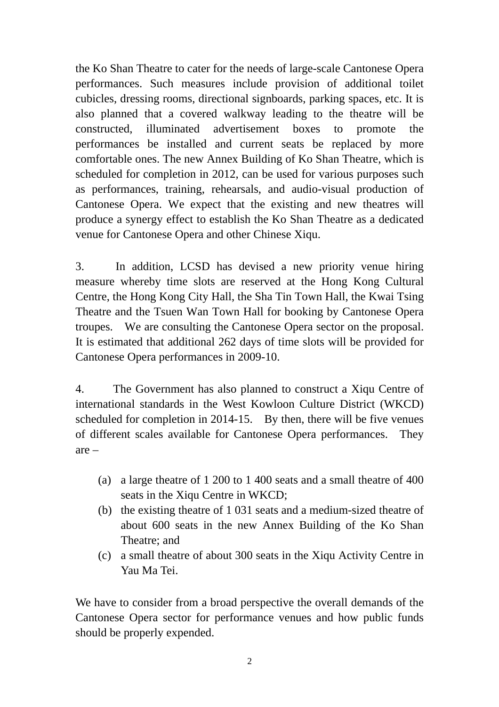the Ko Shan Theatre to cater for the needs of large-scale Cantonese Opera performances. Such measures include provision of additional toilet cubicles, dressing rooms, directional signboards, parking spaces, etc. It is also planned that a covered walkway leading to the theatre will be constructed, illuminated advertisement boxes to promote the performances be installed and current seats be replaced by more comfortable ones. The new Annex Building of Ko Shan Theatre, which is scheduled for completion in 2012, can be used for various purposes such as performances, training, rehearsals, and audio-visual production of Cantonese Opera. We expect that the existing and new theatres will produce a synergy effect to establish the Ko Shan Theatre as a dedicated venue for Cantonese Opera and other Chinese Xiqu.

3. In addition, LCSD has devised a new priority venue hiring measure whereby time slots are reserved at the Hong Kong Cultural Centre, the Hong Kong City Hall, the Sha Tin Town Hall, the Kwai Tsing Theatre and the Tsuen Wan Town Hall for booking by Cantonese Opera troupes. We are consulting the Cantonese Opera sector on the proposal. It is estimated that additional 262 days of time slots will be provided for Cantonese Opera performances in 2009-10.

4. The Government has also planned to construct a Xiqu Centre of international standards in the West Kowloon Culture District (WKCD) scheduled for completion in 2014-15. By then, there will be five venues of different scales available for Cantonese Opera performances. They are –

- (a) a large theatre of 1 200 to 1 400 seats and a small theatre of 400 seats in the Xiqu Centre in WKCD;
- (b) the existing theatre of 1 031 seats and a medium-sized theatre of about 600 seats in the new Annex Building of the Ko Shan Theatre; and
- (c) a small theatre of about 300 seats in the Xiqu Activity Centre in Yau Ma Tei.

We have to consider from a broad perspective the overall demands of the Cantonese Opera sector for performance venues and how public funds should be properly expended.